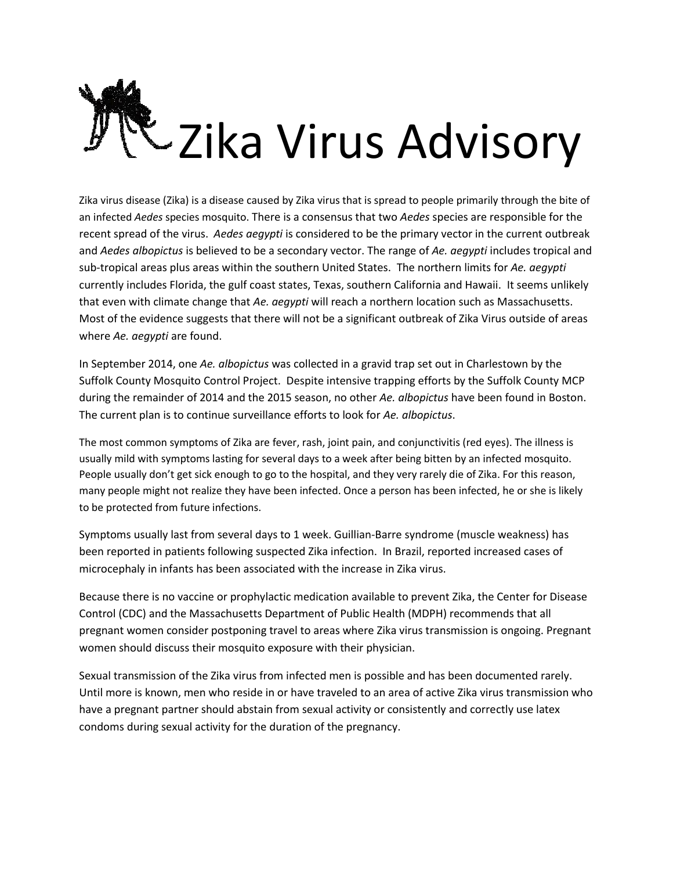

Zika virus disease (Zika) is a disease caused by Zika virus that is spread to people primarily through the bite of an infected *Aedes* species mosquito. There is a consensus that two *Aedes* species are responsible for the recent spread of the virus. *Aedes aegypti* is considered to be the primary vector in the current outbreak and *Aedes albopictus* is believed to be a secondary vector. The range of *Ae. aegypti* includes tropical and sub-tropical areas plus areas within the southern United States. The northern limits for *Ae. aegypti* currently includes Florida, the gulf coast states, Texas, southern California and Hawaii. It seems unlikely that even with climate change that *Ae. aegypti* will reach a northern location such as Massachusetts. Most of the evidence suggests that there will not be a significant outbreak of Zika Virus outside of areas where *Ae. aegypti* are found.

In September 2014, one *Ae. albopictus* was collected in a gravid trap set out in Charlestown by the Suffolk County Mosquito Control Project. Despite intensive trapping efforts by the Suffolk County MCP during the remainder of 2014 and the 2015 season, no other *Ae. albopictus* have been found in Boston. The current plan is to continue surveillance efforts to look for *Ae. albopictus*.

The most common symptoms of Zika are fever, rash, joint pain, and conjunctivitis (red eyes). The illness is usually mild with symptoms lasting for several days to a week after being bitten by an infected mosquito. People usually don't get sick enough to go to the hospital, and they very rarely die of Zika. For this reason, many people might not realize they have been infected. Once a person has been infected, he or she is likely to be protected from future infections.

Symptoms usually last from several days to 1 week. Guillian-Barre syndrome (muscle weakness) has been reported in patients following suspected Zika infection. In Brazil, reported increased cases of microcephaly in infants has been associated with the increase in Zika virus.

Because there is no vaccine or prophylactic medication available to prevent Zika, the Center for Disease Control (CDC) and the Massachusetts Department of Public Health (MDPH) recommends that all pregnant women consider postponing travel to areas where Zika virus transmission is ongoing. Pregnant women should discuss their mosquito exposure with their physician.

Sexual transmission of the Zika virus from infected men is possible and has been documented rarely. Until more is known, men who reside in or have traveled to an area of active Zika virus transmission who have a pregnant partner should abstain from sexual activity or consistently and correctly use latex condoms during sexual activity for the duration of the pregnancy.